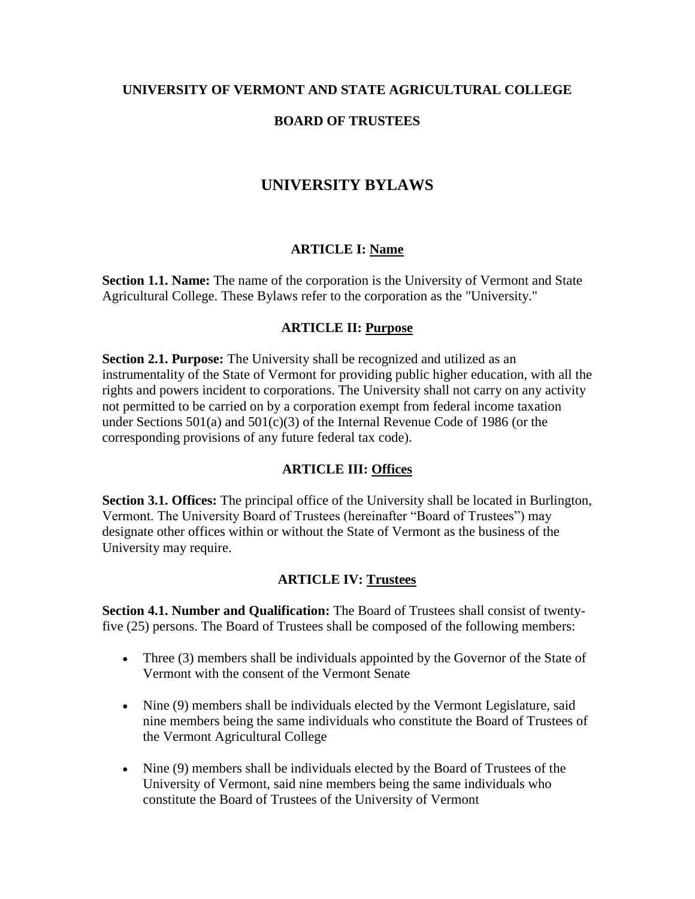#### **UNIVERSITY OF VERMONT AND STATE AGRICULTURAL COLLEGE**

### **BOARD OF TRUSTEES**

# **UNIVERSITY BYLAWS**

#### **ARTICLE I: Name**

**Section 1.1. Name:** The name of the corporation is the University of Vermont and State Agricultural College. These Bylaws refer to the corporation as the "University."

#### **ARTICLE II: Purpose**

**Section 2.1. Purpose:** The University shall be recognized and utilized as an instrumentality of the State of Vermont for providing public higher education, with all the rights and powers incident to corporations. The University shall not carry on any activity not permitted to be carried on by a corporation exempt from federal income taxation under Sections 501(a) and 501(c)(3) of the Internal Revenue Code of 1986 (or the corresponding provisions of any future federal tax code).

#### **ARTICLE III: Offices**

**Section 3.1. Offices:** The principal office of the University shall be located in Burlington, Vermont. The University Board of Trustees (hereinafter "Board of Trustees") may designate other offices within or without the State of Vermont as the business of the University may require.

#### **ARTICLE IV: Trustees**

**Section 4.1. Number and Qualification:** The Board of Trustees shall consist of twentyfive (25) persons. The Board of Trustees shall be composed of the following members:

- Three (3) members shall be individuals appointed by the Governor of the State of Vermont with the consent of the Vermont Senate
- Nine (9) members shall be individuals elected by the Vermont Legislature, said nine members being the same individuals who constitute the Board of Trustees of the Vermont Agricultural College
- Nine (9) members shall be individuals elected by the Board of Trustees of the University of Vermont, said nine members being the same individuals who constitute the Board of Trustees of the University of Vermont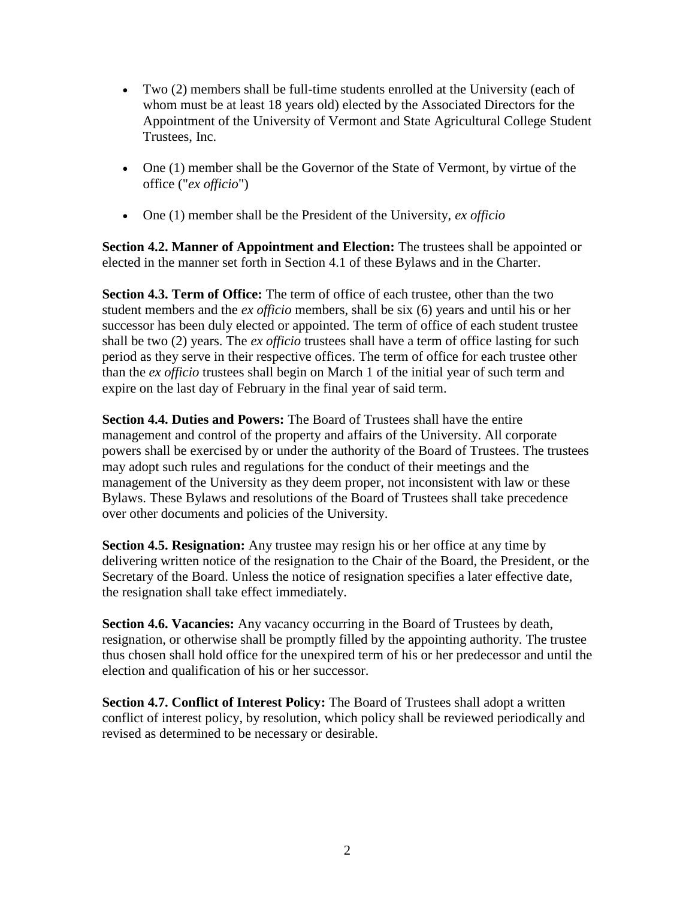- Two (2) members shall be full-time students enrolled at the University (each of whom must be at least 18 years old) elected by the Associated Directors for the Appointment of the University of Vermont and State Agricultural College Student Trustees, Inc.
- One (1) member shall be the Governor of the State of Vermont, by virtue of the office ("*ex officio*")
- One (1) member shall be the President of the University, *ex officio*

**Section 4.2. Manner of Appointment and Election:** The trustees shall be appointed or elected in the manner set forth in Section 4.1 of these Bylaws and in the Charter.

**Section 4.3. Term of Office:** The term of office of each trustee, other than the two student members and the *ex officio* members, shall be six (6) years and until his or her successor has been duly elected or appointed. The term of office of each student trustee shall be two (2) years. The *ex officio* trustees shall have a term of office lasting for such period as they serve in their respective offices. The term of office for each trustee other than the *ex officio* trustees shall begin on March 1 of the initial year of such term and expire on the last day of February in the final year of said term.

**Section 4.4. Duties and Powers:** The Board of Trustees shall have the entire management and control of the property and affairs of the University. All corporate powers shall be exercised by or under the authority of the Board of Trustees. The trustees may adopt such rules and regulations for the conduct of their meetings and the management of the University as they deem proper, not inconsistent with law or these Bylaws. These Bylaws and resolutions of the Board of Trustees shall take precedence over other documents and policies of the University.

**Section 4.5. Resignation:** Any trustee may resign his or her office at any time by delivering written notice of the resignation to the Chair of the Board, the President, or the Secretary of the Board. Unless the notice of resignation specifies a later effective date, the resignation shall take effect immediately.

**Section 4.6. Vacancies:** Any vacancy occurring in the Board of Trustees by death, resignation, or otherwise shall be promptly filled by the appointing authority. The trustee thus chosen shall hold office for the unexpired term of his or her predecessor and until the election and qualification of his or her successor.

**Section 4.7. Conflict of Interest Policy:** The Board of Trustees shall adopt a written conflict of interest policy, by resolution, which policy shall be reviewed periodically and revised as determined to be necessary or desirable.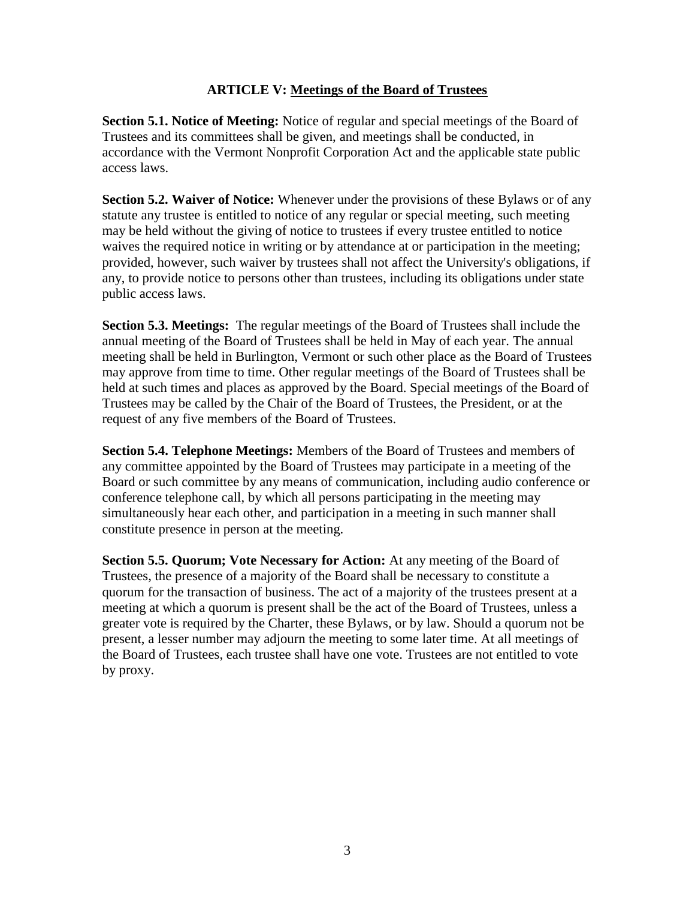### **ARTICLE V: Meetings of the Board of Trustees**

**Section 5.1. Notice of Meeting:** Notice of regular and special meetings of the Board of Trustees and its committees shall be given, and meetings shall be conducted, in accordance with the Vermont Nonprofit Corporation Act and the applicable state public access laws.

**Section 5.2. Waiver of Notice:** Whenever under the provisions of these Bylaws or of any statute any trustee is entitled to notice of any regular or special meeting, such meeting may be held without the giving of notice to trustees if every trustee entitled to notice waives the required notice in writing or by attendance at or participation in the meeting; provided, however, such waiver by trustees shall not affect the University's obligations, if any, to provide notice to persons other than trustees, including its obligations under state public access laws.

**Section 5.3. Meetings:** The regular meetings of the Board of Trustees shall include the annual meeting of the Board of Trustees shall be held in May of each year. The annual meeting shall be held in Burlington, Vermont or such other place as the Board of Trustees may approve from time to time. Other regular meetings of the Board of Trustees shall be held at such times and places as approved by the Board. Special meetings of the Board of Trustees may be called by the Chair of the Board of Trustees, the President, or at the request of any five members of the Board of Trustees.

**Section 5.4. Telephone Meetings:** Members of the Board of Trustees and members of any committee appointed by the Board of Trustees may participate in a meeting of the Board or such committee by any means of communication, including audio conference or conference telephone call, by which all persons participating in the meeting may simultaneously hear each other, and participation in a meeting in such manner shall constitute presence in person at the meeting.

**Section 5.5. Quorum; Vote Necessary for Action:** At any meeting of the Board of Trustees, the presence of a majority of the Board shall be necessary to constitute a quorum for the transaction of business. The act of a majority of the trustees present at a meeting at which a quorum is present shall be the act of the Board of Trustees, unless a greater vote is required by the Charter, these Bylaws, or by law. Should a quorum not be present, a lesser number may adjourn the meeting to some later time. At all meetings of the Board of Trustees, each trustee shall have one vote. Trustees are not entitled to vote by proxy.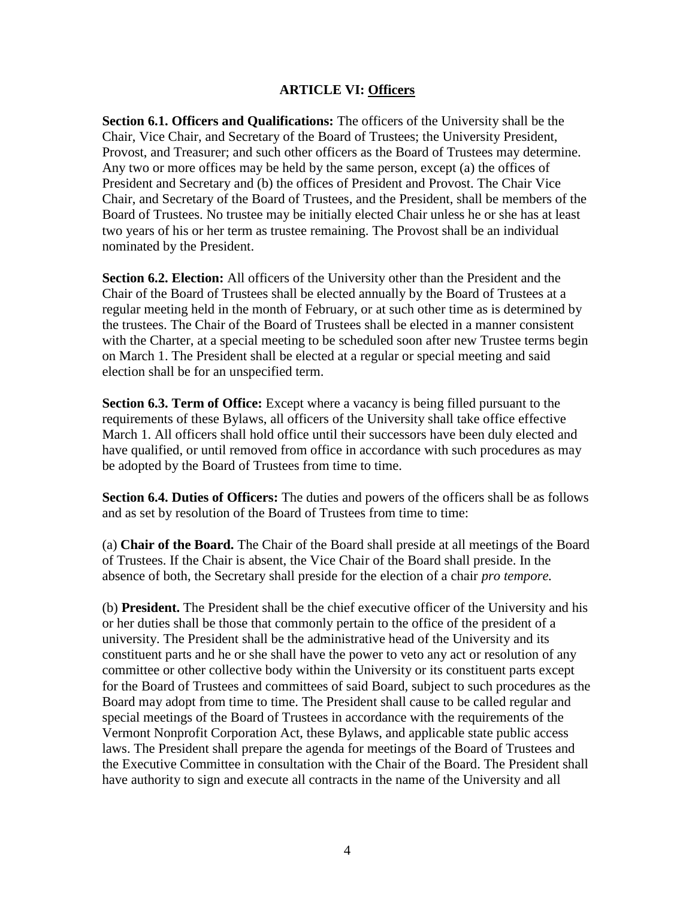#### **ARTICLE VI: Officers**

**Section 6.1. Officers and Qualifications:** The officers of the University shall be the Chair, Vice Chair, and Secretary of the Board of Trustees; the University President, Provost, and Treasurer; and such other officers as the Board of Trustees may determine. Any two or more offices may be held by the same person, except (a) the offices of President and Secretary and (b) the offices of President and Provost. The Chair Vice Chair, and Secretary of the Board of Trustees, and the President, shall be members of the Board of Trustees. No trustee may be initially elected Chair unless he or she has at least two years of his or her term as trustee remaining. The Provost shall be an individual nominated by the President.

**Section 6.2. Election:** All officers of the University other than the President and the Chair of the Board of Trustees shall be elected annually by the Board of Trustees at a regular meeting held in the month of February, or at such other time as is determined by the trustees. The Chair of the Board of Trustees shall be elected in a manner consistent with the Charter, at a special meeting to be scheduled soon after new Trustee terms begin on March 1. The President shall be elected at a regular or special meeting and said election shall be for an unspecified term.

**Section 6.3. Term of Office:** Except where a vacancy is being filled pursuant to the requirements of these Bylaws, all officers of the University shall take office effective March 1. All officers shall hold office until their successors have been duly elected and have qualified, or until removed from office in accordance with such procedures as may be adopted by the Board of Trustees from time to time.

**Section 6.4. Duties of Officers:** The duties and powers of the officers shall be as follows and as set by resolution of the Board of Trustees from time to time:

(a) **Chair of the Board.** The Chair of the Board shall preside at all meetings of the Board of Trustees. If the Chair is absent, the Vice Chair of the Board shall preside. In the absence of both, the Secretary shall preside for the election of a chair *pro tempore.*

(b) **President.** The President shall be the chief executive officer of the University and his or her duties shall be those that commonly pertain to the office of the president of a university. The President shall be the administrative head of the University and its constituent parts and he or she shall have the power to veto any act or resolution of any committee or other collective body within the University or its constituent parts except for the Board of Trustees and committees of said Board, subject to such procedures as the Board may adopt from time to time. The President shall cause to be called regular and special meetings of the Board of Trustees in accordance with the requirements of the Vermont Nonprofit Corporation Act, these Bylaws, and applicable state public access laws. The President shall prepare the agenda for meetings of the Board of Trustees and the Executive Committee in consultation with the Chair of the Board. The President shall have authority to sign and execute all contracts in the name of the University and all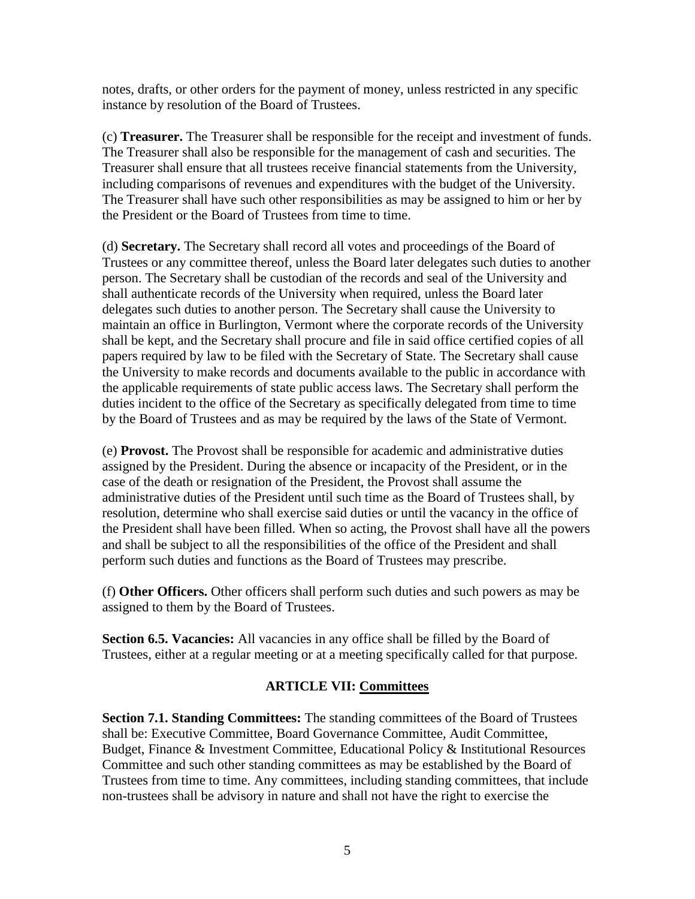notes, drafts, or other orders for the payment of money, unless restricted in any specific instance by resolution of the Board of Trustees.

(c) **Treasurer.** The Treasurer shall be responsible for the receipt and investment of funds. The Treasurer shall also be responsible for the management of cash and securities. The Treasurer shall ensure that all trustees receive financial statements from the University, including comparisons of revenues and expenditures with the budget of the University. The Treasurer shall have such other responsibilities as may be assigned to him or her by the President or the Board of Trustees from time to time.

(d) **Secretary.** The Secretary shall record all votes and proceedings of the Board of Trustees or any committee thereof, unless the Board later delegates such duties to another person. The Secretary shall be custodian of the records and seal of the University and shall authenticate records of the University when required, unless the Board later delegates such duties to another person. The Secretary shall cause the University to maintain an office in Burlington, Vermont where the corporate records of the University shall be kept, and the Secretary shall procure and file in said office certified copies of all papers required by law to be filed with the Secretary of State. The Secretary shall cause the University to make records and documents available to the public in accordance with the applicable requirements of state public access laws. The Secretary shall perform the duties incident to the office of the Secretary as specifically delegated from time to time by the Board of Trustees and as may be required by the laws of the State of Vermont.

(e) **Provost.** The Provost shall be responsible for academic and administrative duties assigned by the President. During the absence or incapacity of the President, or in the case of the death or resignation of the President, the Provost shall assume the administrative duties of the President until such time as the Board of Trustees shall, by resolution, determine who shall exercise said duties or until the vacancy in the office of the President shall have been filled. When so acting, the Provost shall have all the powers and shall be subject to all the responsibilities of the office of the President and shall perform such duties and functions as the Board of Trustees may prescribe.

(f) **Other Officers.** Other officers shall perform such duties and such powers as may be assigned to them by the Board of Trustees.

**Section 6.5. Vacancies:** All vacancies in any office shall be filled by the Board of Trustees, either at a regular meeting or at a meeting specifically called for that purpose.

### **ARTICLE VII: Committees**

**Section 7.1. Standing Committees:** The standing committees of the Board of Trustees shall be: Executive Committee, Board Governance Committee, Audit Committee, Budget, Finance & Investment Committee, Educational Policy & Institutional Resources Committee and such other standing committees as may be established by the Board of Trustees from time to time. Any committees, including standing committees, that include non-trustees shall be advisory in nature and shall not have the right to exercise the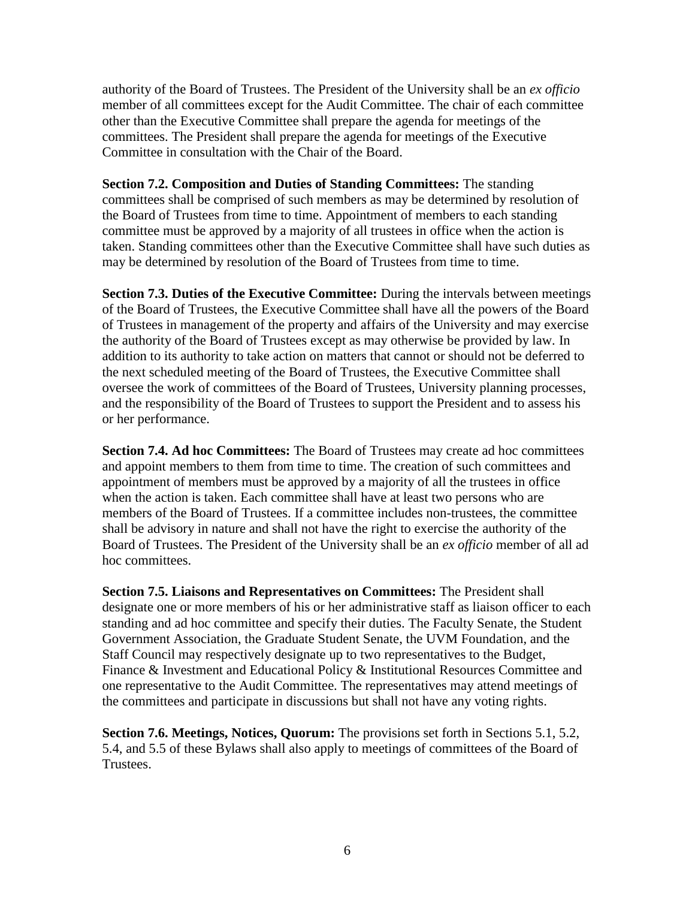authority of the Board of Trustees. The President of the University shall be an *ex officio* member of all committees except for the Audit Committee. The chair of each committee other than the Executive Committee shall prepare the agenda for meetings of the committees. The President shall prepare the agenda for meetings of the Executive Committee in consultation with the Chair of the Board.

**Section 7.2. Composition and Duties of Standing Committees:** The standing committees shall be comprised of such members as may be determined by resolution of the Board of Trustees from time to time. Appointment of members to each standing committee must be approved by a majority of all trustees in office when the action is taken. Standing committees other than the Executive Committee shall have such duties as may be determined by resolution of the Board of Trustees from time to time.

**Section 7.3. Duties of the Executive Committee:** During the intervals between meetings of the Board of Trustees, the Executive Committee shall have all the powers of the Board of Trustees in management of the property and affairs of the University and may exercise the authority of the Board of Trustees except as may otherwise be provided by law. In addition to its authority to take action on matters that cannot or should not be deferred to the next scheduled meeting of the Board of Trustees, the Executive Committee shall oversee the work of committees of the Board of Trustees, University planning processes, and the responsibility of the Board of Trustees to support the President and to assess his or her performance.

**Section 7.4. Ad hoc Committees:** The Board of Trustees may create ad hoc committees and appoint members to them from time to time. The creation of such committees and appointment of members must be approved by a majority of all the trustees in office when the action is taken. Each committee shall have at least two persons who are members of the Board of Trustees. If a committee includes non-trustees, the committee shall be advisory in nature and shall not have the right to exercise the authority of the Board of Trustees. The President of the University shall be an *ex officio* member of all ad hoc committees.

**Section 7.5. Liaisons and Representatives on Committees:** The President shall designate one or more members of his or her administrative staff as liaison officer to each standing and ad hoc committee and specify their duties. The Faculty Senate, the Student Government Association, the Graduate Student Senate, the UVM Foundation, and the Staff Council may respectively designate up to two representatives to the Budget, Finance & Investment and Educational Policy & Institutional Resources Committee and one representative to the Audit Committee. The representatives may attend meetings of the committees and participate in discussions but shall not have any voting rights.

**Section 7.6. Meetings, Notices, Quorum:** The provisions set forth in Sections 5.1, 5.2, 5.4, and 5.5 of these Bylaws shall also apply to meetings of committees of the Board of Trustees.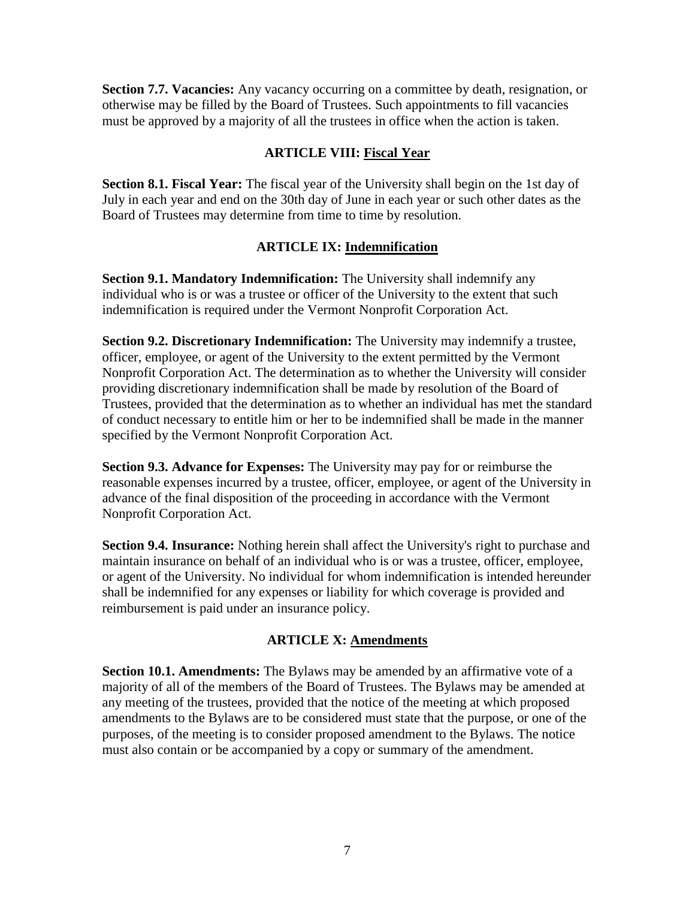**Section 7.7. Vacancies:** Any vacancy occurring on a committee by death, resignation, or otherwise may be filled by the Board of Trustees. Such appointments to fill vacancies must be approved by a majority of all the trustees in office when the action is taken.

# **ARTICLE VIII: Fiscal Year**

**Section 8.1. Fiscal Year:** The fiscal year of the University shall begin on the 1st day of July in each year and end on the 30th day of June in each year or such other dates as the Board of Trustees may determine from time to time by resolution.

## **ARTICLE IX: Indemnification**

**Section 9.1. Mandatory Indemnification:** The University shall indemnify any individual who is or was a trustee or officer of the University to the extent that such indemnification is required under the Vermont Nonprofit Corporation Act.

**Section 9.2. Discretionary Indemnification:** The University may indemnify a trustee, officer, employee, or agent of the University to the extent permitted by the Vermont Nonprofit Corporation Act. The determination as to whether the University will consider providing discretionary indemnification shall be made by resolution of the Board of Trustees, provided that the determination as to whether an individual has met the standard of conduct necessary to entitle him or her to be indemnified shall be made in the manner specified by the Vermont Nonprofit Corporation Act.

**Section 9.3. Advance for Expenses:** The University may pay for or reimburse the reasonable expenses incurred by a trustee, officer, employee, or agent of the University in advance of the final disposition of the proceeding in accordance with the Vermont Nonprofit Corporation Act.

**Section 9.4. Insurance:** Nothing herein shall affect the University's right to purchase and maintain insurance on behalf of an individual who is or was a trustee, officer, employee, or agent of the University. No individual for whom indemnification is intended hereunder shall be indemnified for any expenses or liability for which coverage is provided and reimbursement is paid under an insurance policy.

# **ARTICLE X: Amendments**

**Section 10.1. Amendments:** The Bylaws may be amended by an affirmative vote of a majority of all of the members of the Board of Trustees. The Bylaws may be amended at any meeting of the trustees, provided that the notice of the meeting at which proposed amendments to the Bylaws are to be considered must state that the purpose, or one of the purposes, of the meeting is to consider proposed amendment to the Bylaws. The notice must also contain or be accompanied by a copy or summary of the amendment.